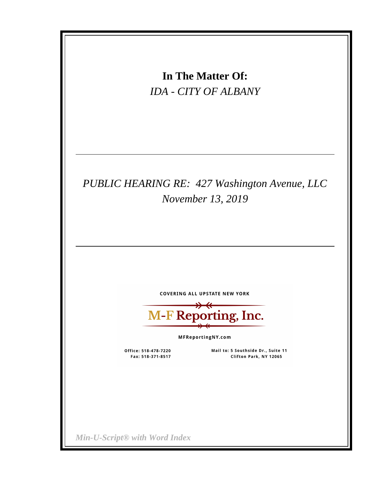|                                           | In The Matter Of:<br><b>IDA - CITY OF ALBANY</b>                                  |  |  |
|-------------------------------------------|-----------------------------------------------------------------------------------|--|--|
|                                           | PUBLIC HEARING RE: 427 Washington Avenue, LLC<br>November 13, 2019                |  |  |
|                                           | <b>COVERING ALL UPSTATE NEW YORK</b><br><b>M-F Reporting, Inc.</b>                |  |  |
| Office: 518-478-7220<br>Fax: 518-371-8517 | MFReportingNY.com<br>Mail to: 5 Southside Dr., Suite 11<br>Clifton Park, NY 12065 |  |  |
| Min-U-Script® with Word Index             |                                                                                   |  |  |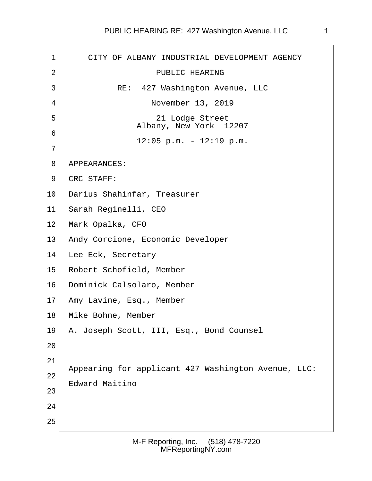# PUBLIC HEARING RE: 427 Washington Avenue, LLC 1

| $\mathbf 1$     | CITY OF ALBANY INDUSTRIAL DEVELOPMENT AGENCY                          |
|-----------------|-----------------------------------------------------------------------|
| 2               | PUBLIC HEARING                                                        |
| 3               | RE: 427 Washington Avenue, LLC                                        |
| 4               | November 13, 2019                                                     |
| 5               | 21 Lodge Street<br>Albany, New York 12207                             |
| 6<br>7          | $12:05$ p.m. - $12:19$ p.m.                                           |
| 8               | APPEARANCES:                                                          |
| 9               | CRC STAFF:                                                            |
| $10 \,$         | Darius Shahinfar, Treasurer                                           |
| 11              | Sarah Reginelli, CEO                                                  |
| 12              | Mark Opalka, CFO                                                      |
| 13              | Andy Corcione, Economic Developer                                     |
| 14              | Lee Eck, Secretary                                                    |
| 15 <sub>1</sub> | Robert Schofield, Member                                              |
| 16              | Dominick Calsolaro, Member                                            |
| 17              | Amy Lavine, Esq., Member                                              |
| 18              | Mike Bohne, Member                                                    |
| 19              | A. Joseph Scott, III, Esq., Bond Counsel                              |
| 20              |                                                                       |
| 21<br>22<br>23  | Appearing for applicant 427 Washington Avenue, LLC:<br>Edward Maitino |
| 24<br>25        |                                                                       |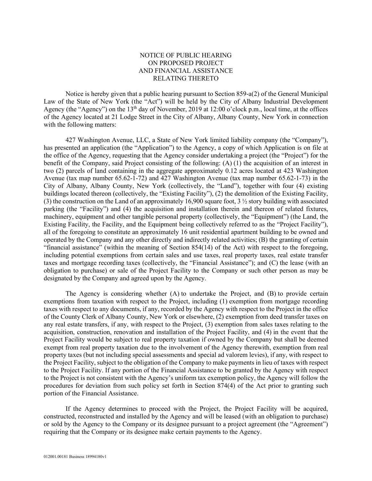### NOTICE OF PUBLIC HEARING ON PROPOSED PROJECT AND FINANCIAL ASSISTANCE RELATING THERETO

Notice is hereby given that a public hearing pursuant to Section 859-a(2) of the General Municipal Law of the State of New York (the "Act") will be held by the City of Albany Industrial Development Agency (the "Agency") on the 13<sup>th</sup> day of November, 2019 at 12:00 o'clock p.m., local time, at the offices of the Agency located at 21 Lodge Street in the City of Albany, Albany County, New York in connection with the following matters:

427 Washington Avenue, LLC, a State of New York limited liability company (the "Company"), has presented an application (the "Application") to the Agency, a copy of which Application is on file at the office of the Agency, requesting that the Agency consider undertaking a project (the "Project") for the benefit of the Company, said Project consisting of the following: (A) (1) the acquisition of an interest in two (2) parcels of land containing in the aggregate approximately 0.12 acres located at 423 Washington Avenue (tax map number 65.62-1-72) and 427 Washington Avenue (tax map number 65.62-1-73) in the City of Albany, Albany County, New York (collectively, the "Land"), together with four (4) existing buildings located thereon (collectively, the "Existing Facility"), (2) the demolition of the Existing Facility, (3) the construction on the Land of an approximately 16,900 square foot, 3 ½ story building with associated parking (the "Facility") and (4) the acquisition and installation therein and thereon of related fixtures, machinery, equipment and other tangible personal property (collectively, the "Equipment") (the Land, the Existing Facility, the Facility, and the Equipment being collectively referred to as the "Project Facility"), all of the foregoing to constitute an approximately 16 unit residential apartment building to be owned and operated by the Company and any other directly and indirectly related activities; (B) the granting of certain "financial assistance" (within the meaning of Section 854(14) of the Act) with respect to the foregoing, including potential exemptions from certain sales and use taxes, real property taxes, real estate transfer taxes and mortgage recording taxes (collectively, the "Financial Assistance"); and (C) the lease (with an obligation to purchase) or sale of the Project Facility to the Company or such other person as may be designated by the Company and agreed upon by the Agency.

The Agency is considering whether (A) to undertake the Project, and (B) to provide certain exemptions from taxation with respect to the Project, including (1) exemption from mortgage recording taxes with respect to any documents, if any, recorded by the Agency with respect to the Project in the office of the County Clerk of Albany County, New York or elsewhere, (2) exemption from deed transfer taxes on any real estate transfers, if any, with respect to the Project, (3) exemption from sales taxes relating to the acquisition, construction, renovation and installation of the Project Facility, and (4) in the event that the Project Facility would be subject to real property taxation if owned by the Company but shall be deemed exempt from real property taxation due to the involvement of the Agency therewith, exemption from real property taxes (but not including special assessments and special ad valorem levies), if any, with respect to the Project Facility, subject to the obligation of the Company to make payments in lieu of taxes with respect to the Project Facility. If any portion of the Financial Assistance to be granted by the Agency with respect to the Project is not consistent with the Agency's uniform tax exemption policy, the Agency will follow the procedures for deviation from such policy set forth in Section 874(4) of the Act prior to granting such portion of the Financial Assistance.

If the Agency determines to proceed with the Project, the Project Facility will be acquired, constructed, reconstructed and installed by the Agency and will be leased (with an obligation to purchase) or sold by the Agency to the Company or its designee pursuant to a project agreement (the "Agreement") requiring that the Company or its designee make certain payments to the Agency.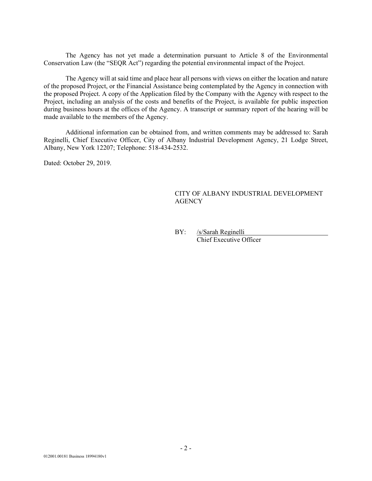The Agency has not yet made a determination pursuant to Article 8 of the Environmental Conservation Law (the "SEQR Act") regarding the potential environmental impact of the Project.

The Agency will at said time and place hear all persons with views on either the location and nature of the proposed Project, or the Financial Assistance being contemplated by the Agency in connection with the proposed Project. A copy of the Application filed by the Company with the Agency with respect to the Project, including an analysis of the costs and benefits of the Project, is available for public inspection during business hours at the offices of the Agency. A transcript or summary report of the hearing will be made available to the members of the Agency.

Additional information can be obtained from, and written comments may be addressed to: Sarah Reginelli, Chief Executive Officer, City of Albany Industrial Development Agency, 21 Lodge Street, Albany, New York 12207; Telephone: 518-434-2532.

Dated: October 29, 2019.

### CITY OF ALBANY INDUSTRIAL DEVELOPMENT **AGENCY**

BY: /s/Sarah Reginelli Chief Executive Officer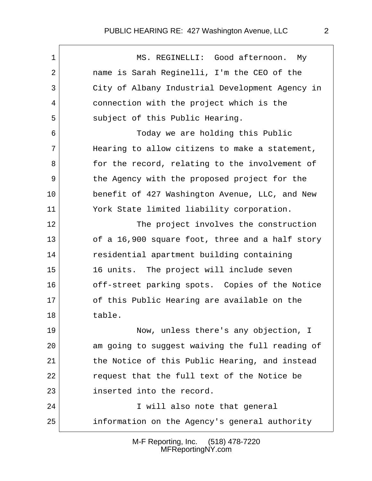## PUBLIC HEARING RE: 427 Washington Avenue, LLC 2

 1 MS. REGINELLI: Good afternoon. My 2 name is Sarah Reginelli, I'm the CEO of the 3 City of Albany Industrial Development Agency in 4 connection with the project which is the 5 subject of this Public Hearing. 6 Today we are holding this Public  $7$  Hearing to allow citizens to make a statement, 8 for the record, relating to the involvement of 9 the Agency with the proposed project for the 10 benefit of 427 Washington Avenue, LLC, and New 11 York State limited liability corporation. 12 The project involves the construction 13 of a 16,900 square foot, three and a half story 14 residential apartment building containing 15 16 units. The project will include seven 16 off-street parking spots. Copies of the Notice 17 of this Public Hearing are available on the 18 table. 19 Now, unless there's any objection, I 20 am going to suggest waiving the full reading of 21 the Notice of this Public Hearing, and instead 22 request that the full text of the Notice be 23 inserted into the record. 24 I will also note that general 25 information on the Agency's general authority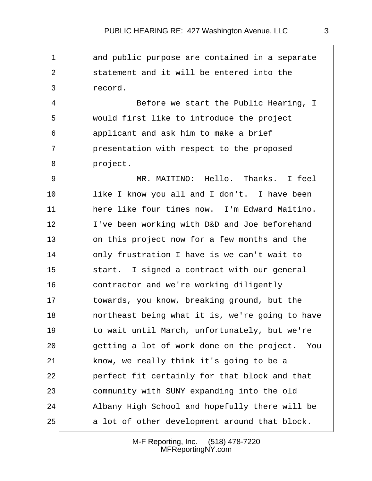1 and public purpose are contained in a separate 2 statement and it will be entered into the 3 record. 4 Before we start the Public Hearing, I 5 would first like to introduce the project 6 applicant and ask him to make a brief 7 presentation with respect to the proposed 8 project. 9 MR. MAITINO: Hello. Thanks. I feel 10 like I know you all and I don't. I have been 11 here like four times now. I'm Edward Maitino. 12 I've been working with D&D and Joe beforehand 13 on this project now for a few months and the 14 only frustration I have is we can't wait to 15 start. I signed a contract with our general 16 contractor and we're working diligently 17 towards, you know, breaking ground, but the 18 **northeast being what it is, we're going to have** 19 to wait until March, unfortunately, but we're 20 getting a lot of work done on the project. You 21 know, we really think it's going to be a 22 perfect fit certainly for that block and that 23 community with SUNY expanding into the old 24 Albany High School and hopefully there will be 25 a lot of other development around that block.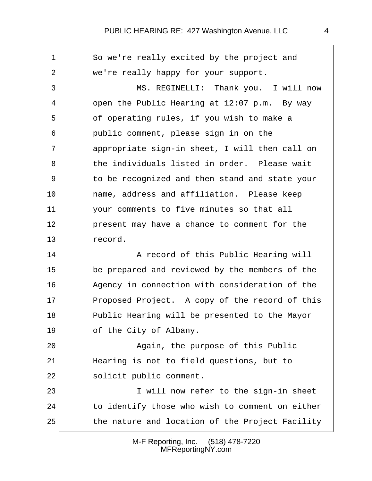1 So we're really excited by the project and 2 we're really happy for your support. 3 MS. REGINELLI: Thank you. I will now  $4$  open the Public Hearing at 12:07 p.m. By way 5 of operating rules, if you wish to make a 6 public comment, please sign in on the 7 appropriate sign-in sheet, I will then call on 8 the individuals listed in order. Please wait 9 to be recognized and then stand and state your 10 name, address and affiliation. Please keep 11 your comments to five minutes so that all 12 present may have a chance to comment for the 13 record. 14 A record of this Public Hearing will 15 be prepared and reviewed by the members of the 16 Agency in connection with consideration of the 17 Proposed Project. A copy of the record of this 18 Public Hearing will be presented to the Mayor 19 of the City of Albany. 20 Again, the purpose of this Public 21 Hearing is not to field questions, but to 22 solicit public comment. 23 I will now refer to the sign-in sheet 24 to identify those who wish to comment on either 25 the nature and location of the Project Facility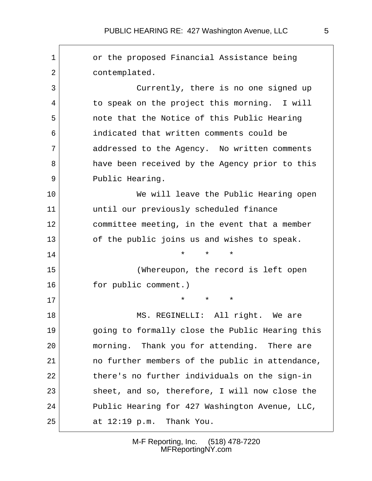| 1  | or the proposed Financial Assistance being      |
|----|-------------------------------------------------|
| 2  | contemplated.                                   |
| 3  | Currently, there is no one signed up            |
| 4  | to speak on the project this morning. I will    |
| 5  | note that the Notice of this Public Hearing     |
| 6  | indicated that written comments could be        |
| 7  | addressed to the Agency. No written comments    |
| 8  | have been received by the Agency prior to this  |
| 9  | Public Hearing.                                 |
| 10 | We will leave the Public Hearing open           |
| 11 | until our previously scheduled finance          |
| 12 | committee meeting, in the event that a member   |
| 13 | of the public joins us and wishes to speak.     |
| 14 | $\star$<br>$\star$<br>$\star$                   |
| 15 | (Whereupon, the record is left open             |
| 16 | for public comment.)                            |
| 17 | $\star$<br>$\star$<br>$^\star$                  |
| 18 | MS. REGINELLI: All right.<br>We are             |
| 19 | going to formally close the Public Hearing this |
| 20 | morning. Thank you for attending. There are     |
| 21 | no further members of the public in attendance, |
| 22 | there's no further individuals on the sign-in   |
| 23 | sheet, and so, therefore, I will now close the  |
| 24 | Public Hearing for 427 Washington Avenue, LLC,  |
| 25 | at $12:19$ p.m. Thank You.                      |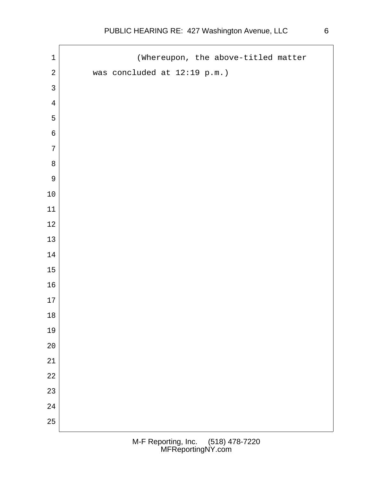$\mathsf{r}$ 

| $\mathbf 1$      | (Whereupon, the above-titled matter |
|------------------|-------------------------------------|
| $\sqrt{2}$       | was concluded at 12:19 p.m.)        |
| $\mathsf{3}$     |                                     |
| $\overline{4}$   |                                     |
| 5                |                                     |
| $\epsilon$       |                                     |
| $\boldsymbol{7}$ |                                     |
| $\,8\,$          |                                     |
| $\mathsf 9$      |                                     |
| $10\,$           |                                     |
| $11\,$           |                                     |
| $12\,$           |                                     |
| $13$             |                                     |
| $14\,$           |                                     |
| $15\,$           |                                     |
| $16\,$           |                                     |
| $17\,$           |                                     |
| $18\,$           |                                     |
| 19               |                                     |
| $20$             |                                     |
| 21               |                                     |
| 22               |                                     |
| 23               |                                     |
| 24               |                                     |
| 25               |                                     |
|                  |                                     |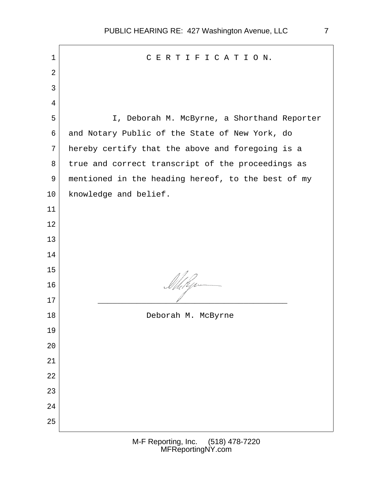| $\mathbf 1$    | CERTIFICATION.                                     |  |
|----------------|----------------------------------------------------|--|
| $\overline{2}$ |                                                    |  |
| 3              |                                                    |  |
| 4              |                                                    |  |
| 5              | I, Deborah M. McByrne, a Shorthand Reporter        |  |
| 6              | and Notary Public of the State of New York, do     |  |
| 7              | hereby certify that the above and foregoing is a   |  |
| 8              | true and correct transcript of the proceedings as  |  |
| $\overline{9}$ | mentioned in the heading hereof, to the best of my |  |
| 10             | knowledge and belief.                              |  |
| 11             |                                                    |  |
| 12             |                                                    |  |
| 13             |                                                    |  |
| 14             |                                                    |  |
| 15             |                                                    |  |
| 16             | Milig                                              |  |
| 17             |                                                    |  |
| 18             | Deborah M. McByrne                                 |  |
| 19             |                                                    |  |
| 20             |                                                    |  |
| 21             |                                                    |  |
| 22             |                                                    |  |
| 23             |                                                    |  |
| 24             |                                                    |  |
| 25             |                                                    |  |
|                |                                                    |  |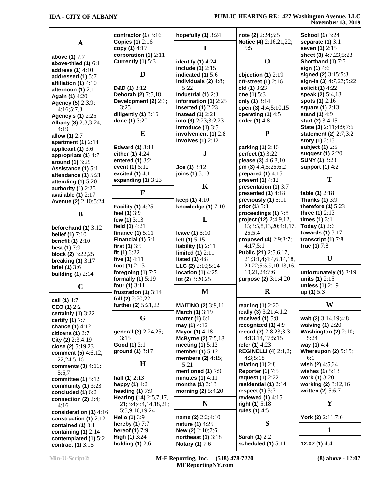#### **IDA - CITY OF ALBANY PUBLIC HEARING RE: 427 Washington Avenue, LLC November 13, 2019**

|                                               | contractor $(1)$ 3:16                       | hopefully $(1)$ 3:24                          | note (2) 2:24;5:5                            | <b>School (1)</b> 3:24                       |
|-----------------------------------------------|---------------------------------------------|-----------------------------------------------|----------------------------------------------|----------------------------------------------|
| $\mathbf{A}$                                  | <b>Copies (1)</b> 2:16                      |                                               | Notice (4) 2:16,21,22;                       | separate $(1)$ 3:1                           |
|                                               | copy (1) 4:17                               | I                                             | 5:5                                          | seven (1) 2:15                               |
| above (1) 7:7                                 | corporation (1) 2:11                        |                                               | $\mathbf 0$                                  | sheet (3) 4:7,23;5:23                        |
| above-titled $(1)$ 6:1                        | Currently (1) 5:3                           | identify $(1)$ 4:24<br>include $(1)$ 2:15     |                                              | Shorthand (1) 7:5<br>sign $(1)$ 4:6          |
| address $(1)$ 4:10                            | D                                           | indicated $(1)$ 5:6                           | objection $(1)$ 2:19                         | signed (2) 3:15;5:3                          |
| addressed (1) 5:7                             |                                             | individuals $(2)$ 4:8;                        | off-street $(1)$ 2:16                        | sign-in (3) 4:7,23;5:22                      |
| affiliation $(1)$ 4:10<br>afternoon $(1)$ 2:1 | D&D $(1)$ 3:12                              | 5:22                                          | old(1) 3:23                                  | solicit (1) 4:22                             |
| Again (1) 4:20                                | Deborah (2) 7:5,18                          | Industrial (1) 2:3                            | one (1) 5:3                                  | speak (2) 5:4,13                             |
| <b>Agency (5)</b> 2:3,9;                      | Development (2) 2:3;                        | information (1) $2:25$                        | only (1) 3:14                                | spots $(1)$ 2:16                             |
| 4:16;5:7,8                                    | 3:25                                        | inserted $(1)$ 2:23                           | open (3) 4:4;5:10,15                         | square (1) 2:13                              |
| <b>Agency's (1)</b> 2:25                      | diligently $(1)$ 3:16                       | instead $(1)$ 2:21                            | operating (1) 4:5                            | stand (1) 4:9                                |
| Albany (3) 2:3;3:24;                          | done (1) 3:20                               | into (3) $2:23;3:2,23$                        | order (1) 4:8                                | start (2) 3:4,15                             |
| 4:19                                          |                                             | introduce $(1)$ 3:5                           |                                              | State (3) 2:11;4:9;7:6                       |
| allow (1) 2:7                                 | E                                           | involvement (1) 2:8                           | ${\bf P}$                                    | statement (2) 2:7;3:2                        |
| apartment $(1)$ 2:14                          | <b>Edward (1)</b> 3:11                      | involves $(1)$ $2:12$                         | parking (1) 2:16                             | story (1) 2:13<br>subject $(1)$ 2:5          |
| applicant $(1)$ 3:6                           | either (1) 4:24                             | ${\bf J}$                                     | perfect (1) 3:22                             | suggest (1) 2:20                             |
| appropriate (1) 4:7                           | entered $(1)$ 3:2                           |                                               | please (3) $4:6,8,10$                        | <b>SUNY (1)</b> 3:23                         |
| around (1) 3:25<br>Assistance (1) 5:1         | event (1) $5:12$                            | Joe $(1)$ 3:12                                | pm (3) 4:4;5:25;6:2                          | support $(1)$ 4:2                            |
| attendance $(1)$ 5:21                         | excited $(1)$ 4:1                           | joins (1) 5:13                                | prepared $(1)$ 4:15                          |                                              |
| attending $(1)$ 5:20                          | expanding $(1)$ 3:23                        |                                               | present $(1)$ 4:12                           | T                                            |
| authority $(1)$ 2:25                          |                                             | K                                             | presentation (1) 3:7                         |                                              |
| available $(1)$ $2:17$                        | $\mathbf{F}$                                |                                               | presented $(1)$ 4:18                         | table (1) 2:18                               |
| Avenue (2) 2:10;5:24                          |                                             | keep $(1)$ 4:10                               | previously (1) 5:11                          | <b>Thanks (1) 3:9</b>                        |
|                                               | <b>Facility (1) 4:25</b>                    | knowledge $(1)$ $7:10$                        | prior (1) 5:8                                | therefore $(1)$ 5:23                         |
| B                                             | feel (1) 3:9                                |                                               | proceedings (1) 7:8                          | three (1) 2:13                               |
|                                               | few $(1)$ 3:13                              | L                                             | project (12) 2:4,9,12,                       | times $(1)$ 3:11                             |
| beforehand $(1)$ 3:12                         | field $(1)$ 4:21                            |                                               | 15;3:5,8,13,20;4:1,17,                       | Today (1) 2:6<br>towards $(1)$ 3:17          |
| <b>belief (1)</b> 7:10                        | finance $(1)$ 5:11<br>Financial $(1)$ 5:1   | leave $(1)$ 5:10<br>left $(1)$ 5:15           | 25:5:4<br>proposed (4) 2:9;3:7;              | transcript $(1)$ 7:8                         |
| benefit $(1)$ 2:10                            | first $(1)$ 3:5                             | liability $(1)$ 2:11                          | 4:17;5:1                                     | true (1) 7:8                                 |
| <b>best (1)</b> 7:9                           | fit $(1)$ 3:22                              | limited $(1)$ 2:11                            | Public (21) 2:5,6,17,                        |                                              |
| block (2) $3:22,25$<br>breaking $(1)$ 3:17    | five $(1)$ 4:11                             | listed $(1)$ 4:8                              | 21;3:1,4;4:4,6,14,18,                        | U                                            |
| <b>brief (1)</b> $3:6$                        | foot $(1)$ 2:13                             | LLC (2) $2:10;5:24$                           | 20, 22; 5: 5, 9, 10, 13, 16,                 |                                              |
| building $(1)$ 2:14                           | foregoing (1) 7:7                           | location (1) $4:25$                           | 19,21,24;7:6                                 | unfortunately $(1)$ 3:19                     |
|                                               | formally $(1)$ 5:19                         | lot (2) $3:20,25$                             | purpose (2) 3:1;4:20                         | units $(1)$ 2:15                             |
| $\mathbf C$                                   | four (1) 3:11                               |                                               |                                              | unless (1) 2:19                              |
|                                               | frustration $(1)$ 3:14                      | M                                             | $\bf R$                                      | up(1) 5:3                                    |
| call (1) 4:7                                  | full (2) 2:20,22                            |                                               |                                              |                                              |
| CEO (1) $2:2$                                 | further (2) $5:21,22$                       | <b>MAITINO (2)</b> 3:9,11                     | reading $(1)$ 2:20                           | W                                            |
| certainly $(1)$ 3:22                          | G                                           | March (1) 3:19                                | really (3) 3:21;4:1,2                        |                                              |
| certify $(1)$ 7:7                             |                                             | matter $(1)$ 6:1<br>may (1) $4:12$            | received $(1)$ 5:8<br>recognized (1) 4:9     | wait (3) $3:14,19;4:8$<br>waiving $(1)$ 2:20 |
| chance (1) 4:12                               | general (3) 2:24,25;                        | <b>Mayor (1)</b> 4:18                         | record (7) 2:8,23;3:3;                       | Washington $(2)$ $2:10;$                     |
| citizens $(1)$ 2:7<br>City (2) $2:3;4:19$     | 3:15                                        | McByrne (2) 7:5,18                            | 4:13,14,17;5:15                              | 5:24                                         |
|                                               | Good (1) 2:1                                | meeting $(1)$ 5:12                            | refer (1) 4:23                               | way (1) 4:4                                  |
|                                               |                                             |                                               |                                              |                                              |
| close (2) $5:19,23$                           | ground $(1)$ 3:17                           | member $(1)$ 5:12                             | <b>REGINELLI (4)</b> 2:1,2;                  | Whereupon $(2)$ 5:15;                        |
| comment (5) 4:6,12,<br>22,24;5:16             |                                             | members $(2)$ 4:15;                           | 4:3;5:18                                     | 6:1                                          |
| comments $(3)$ 4:11;                          | H                                           | 5:21                                          | relating $(1)$ 2:8                           | wish (2) $4:5,24$                            |
| 5:6,7                                         |                                             | mentioned (1) 7:9                             | <b>Reporter (1)</b> 7:5                      | wishes $(1)$ 5:13                            |
| committee $(1)$ 5:12                          | half $(1)$ 2:13                             | minutes $(1)$ 4:11                            | request (1) 2:22                             | work (1) 3:20                                |
| community $(1)$ 3:23                          | happy $(1)$ 4:2                             | months $(1)$ 3:13                             | residential $(1)$ 2:14                       | working (2) 3:12,16                          |
| concluded $(1)$ 6:2                           | heading $(1)$ 7:9                           | morning $(2)$ 5:4,20                          | respect $(1)$ 3:7                            | written $(2)$ 5:6,7                          |
| connection (2) $2:4;$                         | Hearing (14) 2:5,7,17,                      |                                               | reviewed $(1)$ 4:15                          |                                              |
| 4:16                                          | 21;3:4;4:4,14,18,21;                        | N                                             | right $(1)$ 5:18                             | Y                                            |
| consideration (1) 4:16                        | 5:5,9,10,19,24                              |                                               | rules (1) $4:5$                              | York (2) 2:11;7:6                            |
| construction $(1)$ 2:12                       | Hello (1) 3:9<br>hereby (1) 7:7             | name (2) 2:2;4:10<br><b>nature (1)</b> 4:25   | S                                            |                                              |
| contained $(1)$ 3:1                           | hereof $(1)$ 7:9                            | New (2) 2:10;7:6                              |                                              | 1                                            |
| containing $(1)$ 2:14<br>contemplated (1) 5:2 | <b>High (1)</b> $3:24$<br>holding $(1)$ 2:6 | northeast $(1)$ 3:18<br><b>Notary (1)</b> 7:6 | <b>Sarah (1) 2:2</b><br>scheduled $(1)$ 5:11 | 12:07 (1) 4:4                                |

**Min-U-Script® M-F Reporting, Inc. (518) 478-7220 MFReportingNY.com**